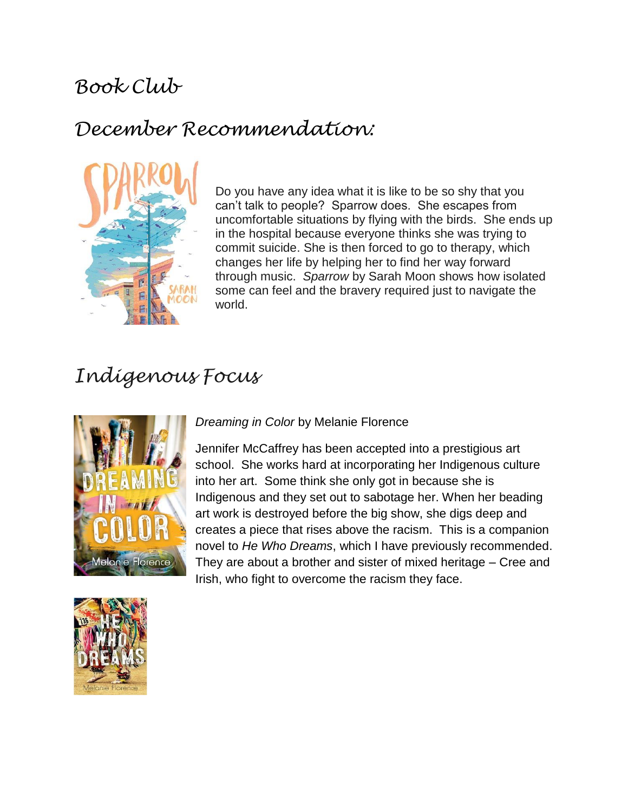# *Book Club*

# *December Recommendation:*



Do you have any idea what it is like to be so shy that you can't talk to people? Sparrow does. She escapes from uncomfortable situations by flying with the birds. She ends up in the hospital because everyone thinks she was trying to commit suicide. She is then forced to go to therapy, which changes her life by helping her to find her way forward through music. *Sparrow* by Sarah Moon shows how isolated some can feel and the bravery required just to navigate the world.

# *Indigenous Focus*



#### *Dreaming in Color* by Melanie Florence

Jennifer McCaffrey has been accepted into a prestigious art school. She works hard at incorporating her Indigenous culture into her art. Some think she only got in because she is Indigenous and they set out to sabotage her. When her beading art work is destroyed before the big show, she digs deep and creates a piece that rises above the racism. This is a companion novel to *He Who Dreams*, which I have previously recommended. They are about a brother and sister of mixed heritage – Cree and Irish, who fight to overcome the racism they face.